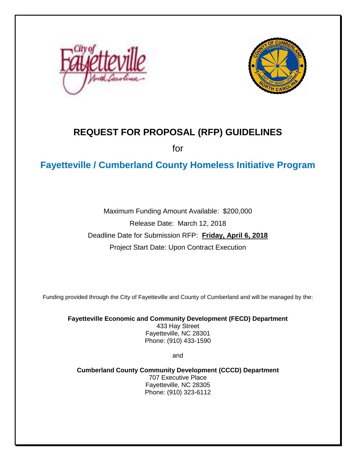



# **REQUEST FOR PROPOSAL (RFP) GUIDELINES**

for

# **Fayetteville / Cumberland County Homeless Initiative Program**

Maximum Funding Amount Available: \$200,000 Release Date: March 12, 2018 Deadline Date for Submission RFP: **Friday, April 6, 2018** Project Start Date: Upon Contract Execution

Funding provided through the City of Fayetteville and County of Cumberland and will be managed by the:

**Fayetteville Economic and Community Development (FECD) Department** 433 Hay Street Fayetteville, NC 28301 Phone: (910) 433-1590

and

**Cumberland County Community Development (CCCD) Department** 707 Executive Place Fayetteville, NC 28305 Phone: (910) 323-6112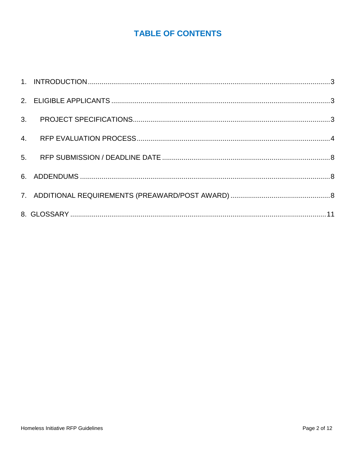# **TABLE OF CONTENTS**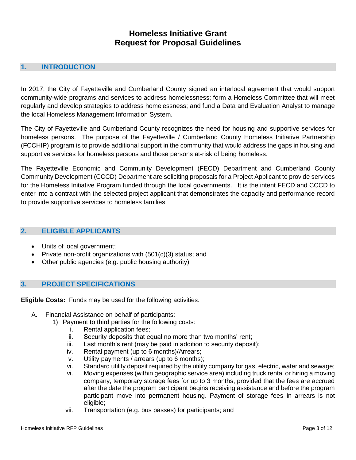# **Homeless Initiative Grant Request for Proposal Guidelines**

## <span id="page-2-0"></span>**1. INTRODUCTION**

In 2017, the City of Fayetteville and Cumberland County signed an interlocal agreement that would support community-wide programs and services to address homelessness; form a Homeless Committee that will meet regularly and develop strategies to address homelessness; and fund a Data and Evaluation Analyst to manage the local Homeless Management Information System.

The City of Fayetteville and Cumberland County recognizes the need for housing and supportive services for homeless persons. The purpose of the Fayetteville / Cumberland County Homeless Initiative Partnership (FCCHIP) program is to provide additional support in the community that would address the gaps in housing and supportive services for homeless persons and those persons at-risk of being homeless.

The Fayetteville Economic and Community Development (FECD) Department and Cumberland County Community Development (CCCD) Department are soliciting proposals for a Project Applicant to provide services for the Homeless Initiative Program funded through the local governments. It is the intent FECD and CCCD to enter into a contract with the selected project applicant that demonstrates the capacity and performance record to provide supportive services to homeless families.

#### <span id="page-2-1"></span>**2. ELIGIBLE APPLICANTS**

- Units of local government;
- Private non-profit organizations with (501(c)(3) status; and
- Other public agencies (e.g. public housing authority)

## <span id="page-2-2"></span>**3. PROJECT SPECIFICATIONS**

**Eligible Costs:** Funds may be used for the following activities:

- A. Financial Assistance on behalf of participants:
	- 1) Payment to third parties for the following costs:
		- i. Rental application fees;
		- ii. Security deposits that equal no more than two months' rent;
		- iii. Last month's rent (may be paid in addition to security deposit);
		- iv. Rental payment (up to 6 months)/Arrears;
		- v. Utility payments / arrears (up to 6 months);
		- vi. Standard utility deposit required by the utility company for gas, electric, water and sewage;
		- vi. Moving expenses (within geographic service area) including truck rental or hiring a moving company, temporary storage fees for up to 3 months, provided that the fees are accrued after the date the program participant begins receiving assistance and before the program participant move into permanent housing. Payment of storage fees in arrears is not eligible;
		- vii. Transportation (e.g. bus passes) for participants; and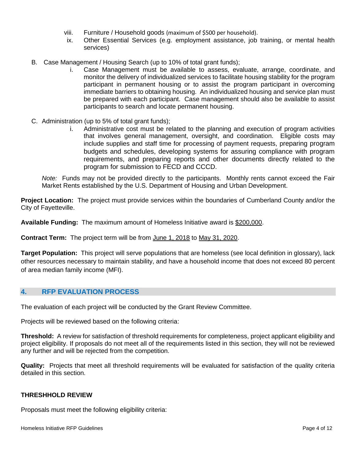- viii. Furniture / Household goods (maximum of \$500 per household).
- ix. Other Essential Services (e.g. employment assistance, job training, or mental health services)
- B. Case Management / Housing Search (up to 10% of total grant funds);
	- i. Case Management must be available to assess, evaluate, arrange, coordinate, and monitor the delivery of individualized services to facilitate housing stability for the program participant in permanent housing or to assist the program participant in overcoming immediate barriers to obtaining housing. An individualized housing and service plan must be prepared with each participant. Case management should also be available to assist participants to search and locate permanent housing.
- C. Administration (up to 5% of total grant funds);
	- i. Administrative cost must be related to the planning and execution of program activities that involves general management, oversight, and coordination. Eligible costs may include supplies and staff time for processing of payment requests, preparing program budgets and schedules, developing systems for assuring compliance with program requirements, and preparing reports and other documents directly related to the program for submission to FECD and CCCD.

*Note:*Funds may not be provided directly to the participants. Monthly rents cannot exceed the Fair Market Rents established by the U.S. Department of Housing and Urban Development.

**Project Location:** The project must provide services within the boundaries of Cumberland County and/or the City of Fayetteville.

**Available Funding:** The maximum amount of Homeless Initiative award is \$200,000.

**Contract Term:** The project term will be from June 1, 2018 to May 31, 2020.

**Target Population:** This project will serve populations that are homeless (see local definition in glossary), lack other resources necessary to maintain stability, and have a household income that does not exceed 80 percent of area median family income (MFI).

#### <span id="page-3-0"></span>**4. RFP EVALUATION PROCESS**

The evaluation of each project will be conducted by the Grant Review Committee.

Projects will be reviewed based on the following criteria:

**Threshold:** A review for satisfaction of threshold requirements for completeness, project applicant eligibility and project eligibility. If proposals do not meet all of the requirements listed in this section, they will not be reviewed any further and will be rejected from the competition.

**Quality:** Projects that meet all threshold requirements will be evaluated for satisfaction of the quality criteria detailed in this section.

#### **THRESHHOLD REVIEW**

Proposals must meet the following eligibility criteria: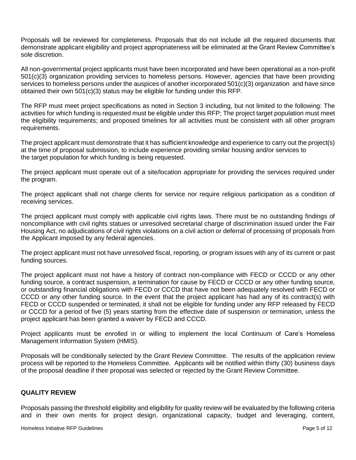Proposals will be reviewed for completeness. Proposals that do not include all the required documents that demonstrate applicant eligibility and project appropriateness will be eliminated at the Grant Review Committee's sole discretion.

All non-governmental project applicants must have been incorporated and have been operational as a non-profit 501(c)(3) organization providing services to homeless persons. However, agencies that have been providing services to homeless persons under the auspices of another incorporated 501(c)(3) organization and have since obtained their own 501(c)(3) status may be eligible for funding under this RFP.

The RFP must meet project specifications as noted in Section 3 including, but not limited to the following: The activities for which funding is requested must be eligible under this RFP; The project target population must meet the eligibility requirements; and proposed timelines for all activities must be consistent with all other program requirements.

The project applicant must demonstrate that it has sufficient knowledge and experience to carry out the project(s) at the time of proposal submission, to include experience providing similar housing and/or services to the target population for which funding is being requested.

The project applicant must operate out of a site/location appropriate for providing the services required under the program.

The project applicant shall not charge clients for service nor require religious participation as a condition of receiving services.

The project applicant must comply with applicable civil rights laws. There must be no outstanding findings of noncompliance with civil rights statues or unresolved secretarial charge of discrimination issued under the Fair Housing Act, no adjudications of civil rights violations on a civil action or deferral of processing of proposals from the Applicant imposed by any federal agencies.

The project applicant must not have unresolved fiscal, reporting, or program issues with any of its current or past funding sources.

The project applicant must not have a history of contract non-compliance with FECD or CCCD or any other funding source, a contract suspension, a termination for cause by FECD or CCCD or any other funding source, or outstanding financial obligations with FECD or CCCD that have not been adequately resolved with FECD or CCCD or any other funding source. In the event that the project applicant has had any of its contract(s) with FECD or CCCD suspended or terminated, it shall not be eligible for funding under any RFP released by FECD or CCCD for a period of five (5) years starting from the effective date of suspension or termination, unless the project applicant has been granted a waiver by FECD and CCCD.

Project applicants must be enrolled in or willing to implement the local Continuum of Care's Homeless Management Information System (HMIS).

Proposals will be conditionally selected by the Grant Review Committee. The results of the application review process will be reported to the Homeless Committee. Applicants will be notified within thirty (30) business days of the proposal deadline if their proposal was selected or rejected by the Grant Review Committee.

#### **QUALITY REVIEW**

Proposals passing the threshold eligibility and eligibility for quality review will be evaluated by the following criteria and in their own merits for project design, organizational capacity, budget and leveraging, content,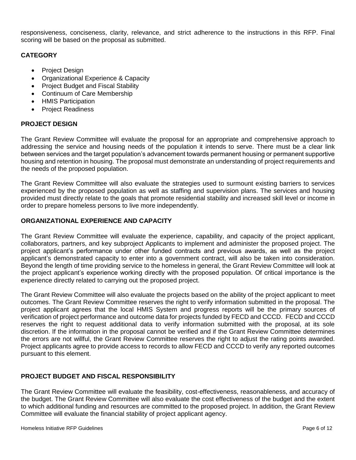responsiveness, conciseness, clarity, relevance, and strict adherence to the instructions in this RFP. Final scoring will be based on the proposal as submitted.

### **CATEGORY**

- Project Design
- Organizational Experience & Capacity
- Project Budget and Fiscal Stability
- Continuum of Care Membership
- HMIS Participation
- Project Readiness

#### **PROJECT DESIGN**

The Grant Review Committee will evaluate the proposal for an appropriate and comprehensive approach to addressing the service and housing needs of the population it intends to serve. There must be a clear link between services and the target population's advancement towards permanent housing or permanent supportive housing and retention in housing. The proposal must demonstrate an understanding of project requirements and the needs of the proposed population.

The Grant Review Committee will also evaluate the strategies used to surmount existing barriers to services experienced by the proposed population as well as staffing and supervision plans. The services and housing provided must directly relate to the goals that promote residential stability and increased skill level or income in order to prepare homeless persons to live more independently.

#### **ORGANIZATIONAL EXPERIENCE AND CAPACITY**

The Grant Review Committee will evaluate the experience, capability, and capacity of the project applicant, collaborators, partners, and key subproject Applicants to implement and administer the proposed project. The project applicant's performance under other funded contracts and previous awards, as well as the project applicant's demonstrated capacity to enter into a government contract, will also be taken into consideration. Beyond the length of time providing service to the homeless in general, the Grant Review Committee will look at the project applicant's experience working directly with the proposed population. Of critical importance is the experience directly related to carrying out the proposed project.

The Grant Review Committee will also evaluate the projects based on the ability of the project applicant to meet outcomes. The Grant Review Committee reserves the right to verify information submitted in the proposal. The project applicant agrees that the local HMIS System and progress reports will be the primary sources of verification of project performance and outcome data for projects funded by FECD and CCCD. FECD and CCCD reserves the right to request additional data to verify information submitted with the proposal, at its sole discretion. If the information in the proposal cannot be verified and if the Grant Review Committee determines the errors are not willful, the Grant Review Committee reserves the right to adjust the rating points awarded. Project applicants agree to provide access to records to allow FECD and CCCD to verify any reported outcomes pursuant to this element.

## **PROJECT BUDGET AND FISCAL RESPONSIBILITY**

The Grant Review Committee will evaluate the feasibility, cost-effectiveness, reasonableness, and accuracy of the budget. The Grant Review Committee will also evaluate the cost effectiveness of the budget and the extent to which additional funding and resources are committed to the proposed project. In addition, the Grant Review Committee will evaluate the financial stability of project applicant agency.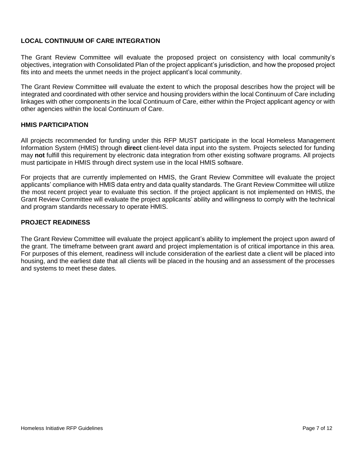#### **LOCAL CONTINUUM OF CARE INTEGRATION**

The Grant Review Committee will evaluate the proposed project on consistency with local community's objectives, integration with Consolidated Plan of the project applicant's jurisdiction, and how the proposed project fits into and meets the unmet needs in the project applicant's local community.

The Grant Review Committee will evaluate the extent to which the proposal describes how the project will be integrated and coordinated with other service and housing providers within the local Continuum of Care including linkages with other components in the local Continuum of Care, either within the Project applicant agency or with other agencies within the local Continuum of Care.

#### **HMIS PARTICIPATION**

All projects recommended for funding under this RFP MUST participate in the local Homeless Management Information System (HMIS) through **direct** client-level data input into the system. Projects selected for funding may **not** fulfill this requirement by electronic data integration from other existing software programs. All projects must participate in HMIS through direct system use in the local HMIS software.

For projects that are currently implemented on HMIS, the Grant Review Committee will evaluate the project applicants' compliance with HMIS data entry and data quality standards. The Grant Review Committee will utilize the most recent project year to evaluate this section. If the project applicant is not implemented on HMIS, the Grant Review Committee will evaluate the project applicants' ability and willingness to comply with the technical and program standards necessary to operate HMIS.

#### **PROJECT READINESS**

The Grant Review Committee will evaluate the project applicant's ability to implement the project upon award of the grant. The timeframe between grant award and project implementation is of critical importance in this area. For purposes of this element, readiness will include consideration of the earliest date a client will be placed into housing, and the earliest date that all clients will be placed in the housing and an assessment of the processes and systems to meet these dates.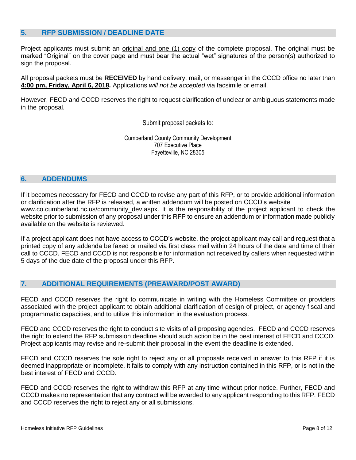#### <span id="page-7-0"></span>**5. RFP SUBMISSION / DEADLINE DATE**

Project applicants must submit an original and one (1) copy of the complete proposal. The original must be marked "Original" on the cover page and must bear the actual "wet" signatures of the person(s) authorized to sign the proposal.

All proposal packets must be **RECEIVED** by hand delivery, mail, or messenger in the CCCD office no later than **4:00 pm, Friday, April 6, 2018.** Applications *will not be accepted* via facsimile or email.

However, FECD and CCCD reserves the right to request clarification of unclear or ambiguous statements made in the proposal.

Submit proposal packets to:

Cumberland County Community Development 707 Executive Place Fayetteville, NC 28305

#### <span id="page-7-1"></span>**6. ADDENDUMS**

If it becomes necessary for FECD and CCCD to revise any part of this RFP, or to provide additional information or clarification after the RFP is released, a written addendum will be posted on CCCD's website www.co.cumberland.nc.us/community\_dev.aspx. It is the responsibility of the project applicant to check the website prior to submission of any proposal under this RFP to ensure an addendum or information made publicly available on the website is reviewed.

If a project applicant does not have access to CCCD's website, the project applicant may call and request that a printed copy of any addenda be faxed or mailed via first class mail within 24 hours of the date and time of their call to CCCD. FECD and CCCD is not responsible for information not received by callers when requested within 5 days of the due date of the proposal under this RFP.

#### <span id="page-7-2"></span>**7. ADDITIONAL REQUIREMENTS (PREAWARD/POST AWARD)**

FECD and CCCD reserves the right to communicate in writing with the Homeless Committee or providers associated with the project applicant to obtain additional clarification of design of project, or agency fiscal and programmatic capacities, and to utilize this information in the evaluation process.

FECD and CCCD reserves the right to conduct site visits of all proposing agencies. FECD and CCCD reserves the right to extend the RFP submission deadline should such action be in the best interest of FECD and CCCD. Project applicants may revise and re-submit their proposal in the event the deadline is extended.

FECD and CCCD reserves the sole right to reject any or all proposals received in answer to this RFP if it is deemed inappropriate or incomplete, it fails to comply with any instruction contained in this RFP, or is not in the best interest of FECD and CCCD.

FECD and CCCD reserves the right to withdraw this RFP at any time without prior notice. Further, FECD and CCCD makes no representation that any contract will be awarded to any applicant responding to this RFP. FECD and CCCD reserves the right to reject any or all submissions.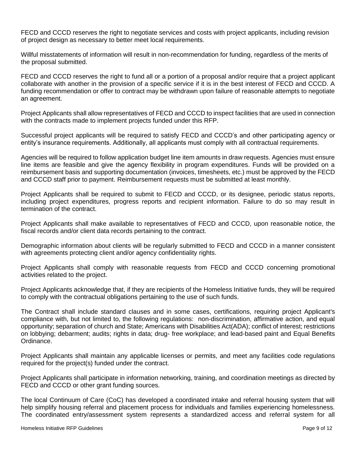FECD and CCCD reserves the right to negotiate services and costs with project applicants, including revision of project design as necessary to better meet local requirements.

Willful misstatements of information will result in non-recommendation for funding, regardless of the merits of the proposal submitted.

FECD and CCCD reserves the right to fund all or a portion of a proposal and/or require that a project applicant collaborate with another in the provision of a specific service if it is in the best interest of FECD and CCCD. A funding recommendation or offer to contract may be withdrawn upon failure of reasonable attempts to negotiate an agreement.

Project Applicants shall allow representatives of FECD and CCCD to inspect facilities that are used in connection with the contracts made to implement projects funded under this RFP.

Successful project applicants will be required to satisfy FECD and CCCD's and other participating agency or entity's insurance requirements. Additionally, all applicants must comply with all contractual requirements.

Agencies will be required to follow application budget line item amounts in draw requests. Agencies must ensure line items are feasible and give the agency flexibility in program expenditures. Funds will be provided on a reimbursement basis and supporting documentation (invoices, timesheets, etc.) must be approved by the FECD and CCCD staff prior to payment. Reimbursement requests must be submitted at least monthly.

Project Applicants shall be required to submit to FECD and CCCD, or its designee, periodic status reports, including project expenditures, progress reports and recipient information. Failure to do so may result in termination of the contract.

Project Applicants shall make available to representatives of FECD and CCCD, upon reasonable notice, the fiscal records and/or client data records pertaining to the contract.

Demographic information about clients will be regularly submitted to FECD and CCCD in a manner consistent with agreements protecting client and/or agency confidentiality rights.

Project Applicants shall comply with reasonable requests from FECD and CCCD concerning promotional activities related to the project.

Project Applicants acknowledge that, if they are recipients of the Homeless Initiative funds, they will be required to comply with the contractual obligations pertaining to the use of such funds.

The Contract shall include standard clauses and in some cases, certifications, requiring project Applicant's compliance with, but not limited to, the following regulations: non-discrimination, affirmative action, and equal opportunity; separation of church and State; Americans with Disabilities Act(ADA); conflict of interest; restrictions on lobbying; debarment; audits; rights in data; drug- free workplace; and lead-based paint and Equal Benefits Ordinance.

Project Applicants shall maintain any applicable licenses or permits, and meet any facilities code regulations required for the project(s) funded under the contract.

Project Applicants shall participate in information networking, training, and coordination meetings as directed by FECD and CCCD or other grant funding sources.

The local Continuum of Care (CoC) has developed a coordinated intake and referral housing system that will help simplify housing referral and placement process for individuals and families experiencing homelessness. The coordinated entry/assessment system represents a standardized access and referral system for all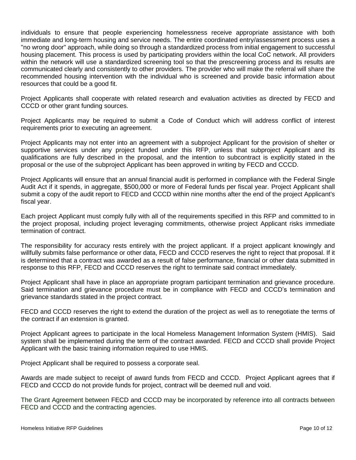individuals to ensure that people experiencing homelessness receive appropriate assistance with both immediate and long-term housing and service needs. The entire coordinated entry/assessment process uses a "no wrong door" approach, while doing so through a standardized process from initial engagement to successful housing placement. This process is used by participating providers within the local CoC network. All providers within the network will use a standardized screening tool so that the prescreening process and its results are communicated clearly and consistently to other providers. The provider who will make the referral will share the recommended housing intervention with the individual who is screened and provide basic information about resources that could be a good fit.

Project Applicants shall cooperate with related research and evaluation activities as directed by FECD and CCCD or other grant funding sources.

Project Applicants may be required to submit a Code of Conduct which will address conflict of interest requirements prior to executing an agreement.

Project Applicants may not enter into an agreement with a subproject Applicant for the provision of shelter or supportive services under any project funded under this RFP, unless that subproject Applicant and its qualifications are fully described in the proposal, and the intention to subcontract is explicitly stated in the proposal or the use of the subproject Applicant has been approved in writing by FECD and CCCD.

Project Applicants will ensure that an annual financial audit is performed in compliance with the Federal Single Audit Act if it spends, in aggregate, \$500,000 or more of Federal funds per fiscal year. Project Applicant shall submit a copy of the audit report to FECD and CCCD within nine months after the end of the project Applicant's fiscal year.

Each project Applicant must comply fully with all of the requirements specified in this RFP and committed to in the project proposal, including project leveraging commitments, otherwise project Applicant risks immediate termination of contract.

The responsibility for accuracy rests entirely with the project applicant. If a project applicant knowingly and willfully submits false performance or other data, FECD and CCCD reserves the right to reject that proposal. If it is determined that a contract was awarded as a result of false performance, financial or other data submitted in response to this RFP, FECD and CCCD reserves the right to terminate said contract immediately.

Project Applicant shall have in place an appropriate program participant termination and grievance procedure. Said termination and grievance procedure must be in compliance with FECD and CCCD's termination and grievance standards stated in the project contract.

FECD and CCCD reserves the right to extend the duration of the project as well as to renegotiate the terms of the contract if an extension is granted.

Project Applicant agrees to participate in the local Homeless Management Information System (HMIS). Said system shall be implemented during the term of the contract awarded. FECD and CCCD shall provide Project Applicant with the basic training information required to use HMIS.

Project Applicant shall be required to possess a corporate seal.

Awards are made subject to receipt of award funds from FECD and CCCD. Project Applicant agrees that if FECD and CCCD do not provide funds for project, contract will be deemed null and void.

The Grant Agreement between FECD and CCCD may be incorporated by reference into all contracts between FECD and CCCD and the contracting agencies.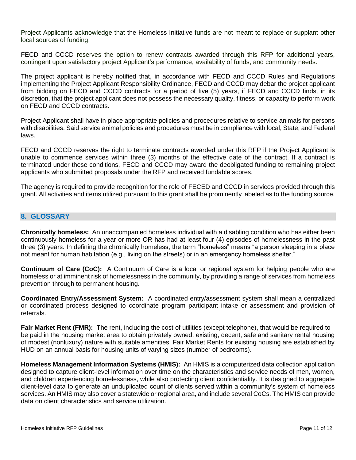Project Applicants acknowledge that the Homeless Initiative funds are not meant to replace or supplant other local sources of funding.

FECD and CCCD reserves the option to renew contracts awarded through this RFP for additional years, contingent upon satisfactory project Applicant's performance, availability of funds, and community needs.

The project applicant is hereby notified that, in accordance with FECD and CCCD Rules and Regulations implementing the Project Applicant Responsibility Ordinance, FECD and CCCD may debar the project applicant from bidding on FECD and CCCD contracts for a period of five (5) years, if FECD and CCCD finds, in its discretion, that the project applicant does not possess the necessary quality, fitness, or capacity to perform work on FECD and CCCD contracts.

Project Applicant shall have in place appropriate policies and procedures relative to service animals for persons with disabilities. Said service animal policies and procedures must be in compliance with local, State, and Federal laws.

FECD and CCCD reserves the right to terminate contracts awarded under this RFP if the Project Applicant is unable to commence services within three (3) months of the effective date of the contract. If a contract is terminated under these conditions, FECD and CCCD may award the deobligated funding to remaining project applicants who submitted proposals under the RFP and received fundable scores.

The agency is required to provide recognition for the role of FECED and CCCD in services provided through this grant. All activities and items utilized pursuant to this grant shall be prominently labeled as to the funding source.

# <span id="page-10-0"></span>**8. GLOSSARY**

**Chronically homeless:** An unaccompanied homeless individual with a disabling condition who has either been continuously homeless for a year or more OR has had at least four (4) episodes of homelessness in the past three (3) years. In defining the chronically homeless, the term "homeless" means "a person sleeping in a place not meant for human habitation (e.g., living on the streets) or in an emergency homeless shelter."

**Continuum of Care (CoC):** A Continuum of Care is a local or regional system for helping people who are homeless or at imminent risk of homelessness in the community, by providing a range of services from homeless prevention through to permanent housing.

**Coordinated Entry/Assessment System:** A coordinated entry/assessment system shall mean a centralized or coordinated process designed to coordinate program participant intake or assessment and provision of referrals.

**Fair Market Rent (FMR):** The rent, including the cost of utilities (except telephone), that would be required to be paid in the housing market area to obtain privately owned, existing, decent, safe and sanitary rental housing of modest (nonluxury) nature with suitable amenities. Fair Market Rents for existing housing are established by HUD on an annual basis for housing units of varying sizes (number of bedrooms).

**Homeless Management Information Systems (HMIS):** An HMIS is a computerized data collection application designed to capture client-level information over time on the characteristics and service needs of men, women, and children experiencing homelessness, while also protecting client confidentiality. It is designed to aggregate client-level data to generate an unduplicated count of clients served within a community's system of homeless services. An HMIS may also cover a statewide or regional area, and include several CoCs. The HMIS can provide data on client characteristics and service utilization.